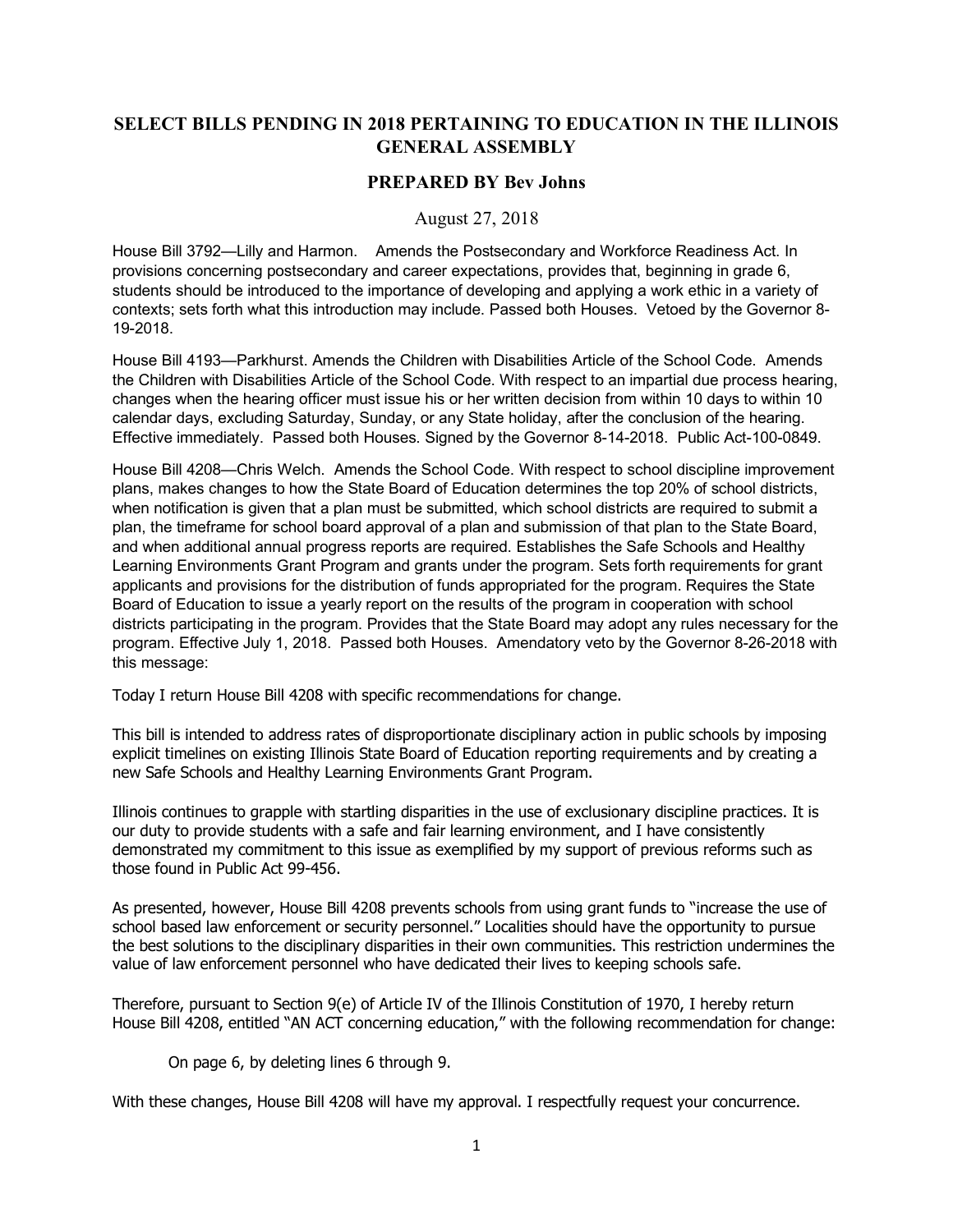## **SELECT BILLS PENDING IN 2018 PERTAINING TO EDUCATION IN THE ILLINOIS GENERAL ASSEMBLY**

## **PREPARED BY Bev Johns**

August 27, 2018

House Bill 3792—Lilly and Harmon. Amends the Postsecondary and Workforce Readiness Act. In provisions concerning postsecondary and career expectations, provides that, beginning in grade 6, students should be introduced to the importance of developing and applying a work ethic in a variety of contexts; sets forth what this introduction may include. Passed both Houses. Vetoed by the Governor 8- 19-2018.

House Bill 4193—Parkhurst. Amends the Children with Disabilities Article of the School Code. Amends the Children with Disabilities Article of the School Code. With respect to an impartial due process hearing, changes when the hearing officer must issue his or her written decision from within 10 days to within 10 calendar days, excluding Saturday, Sunday, or any State holiday, after the conclusion of the hearing. Effective immediately. Passed both Houses. Signed by the Governor 8-14-2018. Public Act-100-0849.

House Bill 4208—Chris Welch. Amends the School Code. With respect to school discipline improvement plans, makes changes to how the State Board of Education determines the top 20% of school districts, when notification is given that a plan must be submitted, which school districts are required to submit a plan, the timeframe for school board approval of a plan and submission of that plan to the State Board, and when additional annual progress reports are required. Establishes the Safe Schools and Healthy Learning Environments Grant Program and grants under the program. Sets forth requirements for grant applicants and provisions for the distribution of funds appropriated for the program. Requires the State Board of Education to issue a yearly report on the results of the program in cooperation with school districts participating in the program. Provides that the State Board may adopt any rules necessary for the program. Effective July 1, 2018. Passed both Houses. Amendatory veto by the Governor 8-26-2018 with this message:

Today I return House Bill 4208 with specific recommendations for change.

This bill is intended to address rates of disproportionate disciplinary action in public schools by imposing explicit timelines on existing Illinois State Board of Education reporting requirements and by creating a new Safe Schools and Healthy Learning Environments Grant Program.

Illinois continues to grapple with startling disparities in the use of exclusionary discipline practices. It is our duty to provide students with a safe and fair learning environment, and I have consistently demonstrated my commitment to this issue as exemplified by my support of previous reforms such as those found in Public Act 99-456.

As presented, however, House Bill 4208 prevents schools from using grant funds to "increase the use of school based law enforcement or security personnel." Localities should have the opportunity to pursue the best solutions to the disciplinary disparities in their own communities. This restriction undermines the value of law enforcement personnel who have dedicated their lives to keeping schools safe.

Therefore, pursuant to Section 9(e) of Article IV of the Illinois Constitution of 1970, I hereby return House Bill 4208, entitled "AN ACT concerning education," with the following recommendation for change:

On page 6, by deleting lines 6 through 9.

With these changes, House Bill 4208 will have my approval. I respectfully request your concurrence.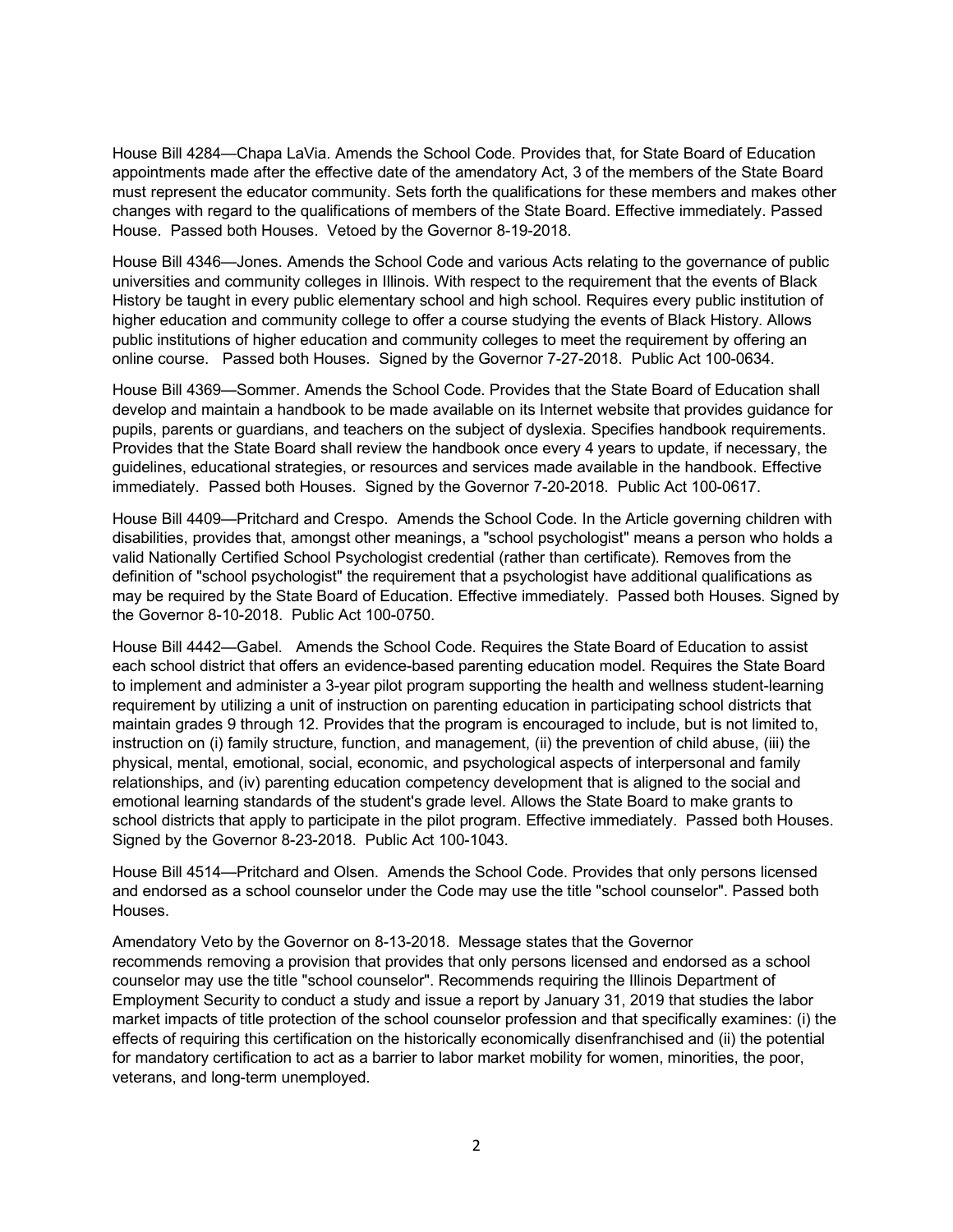House Bill 4284—Chapa LaVia. Amends the School Code. Provides that, for State Board of Education appointments made after the effective date of the amendatory Act, 3 of the members of the State Board must represent the educator community. Sets forth the qualifications for these members and makes other changes with regard to the qualifications of members of the State Board. Effective immediately. Passed House. Passed both Houses. Vetoed by the Governor 8-19-2018.

House Bill 4346—Jones. Amends the School Code and various Acts relating to the governance of public universities and community colleges in Illinois. With respect to the requirement that the events of Black History be taught in every public elementary school and high school. Requires every public institution of higher education and community college to offer a course studying the events of Black History. Allows public institutions of higher education and community colleges to meet the requirement by offering an online course. Passed both Houses. Signed by the Governor 7-27-2018. Public Act 100-0634.

House Bill 4369—Sommer. Amends the School Code. Provides that the State Board of Education shall develop and maintain a handbook to be made available on its Internet website that provides guidance for pupils, parents or guardians, and teachers on the subject of dyslexia. Specifies handbook requirements. Provides that the State Board shall review the handbook once every 4 years to update, if necessary, the guidelines, educational strategies, or resources and services made available in the handbook. Effective immediately. Passed both Houses. Signed by the Governor 7-20-2018. Public Act 100-0617.

House Bill 4409—Pritchard and Crespo. Amends the School Code. In the Article governing children with disabilities, provides that, amongst other meanings, a "school psychologist" means a person who holds a valid Nationally Certified School Psychologist credential (rather than certificate). Removes from the definition of "school psychologist" the requirement that a psychologist have additional qualifications as may be required by the State Board of Education. Effective immediately. Passed both Houses. Signed by the Governor 8-10-2018. Public Act 100-0750.

House Bill 4442—Gabel. Amends the School Code. Requires the State Board of Education to assist each school district that offers an evidence-based parenting education model. Requires the State Board to implement and administer a 3-year pilot program supporting the health and wellness student-learning requirement by utilizing a unit of instruction on parenting education in participating school districts that maintain grades 9 through 12. Provides that the program is encouraged to include, but is not limited to, instruction on (i) family structure, function, and management, (ii) the prevention of child abuse, (iii) the physical, mental, emotional, social, economic, and psychological aspects of interpersonal and family relationships, and (iv) parenting education competency development that is aligned to the social and emotional learning standards of the student's grade level. Allows the State Board to make grants to school districts that apply to participate in the pilot program. Effective immediately. Passed both Houses. Signed by the Governor 8-23-2018. Public Act 100-1043.

House Bill 4514—Pritchard and Olsen. Amends the School Code. Provides that only persons licensed and endorsed as a school counselor under the Code may use the title "school counselor". Passed both Houses.

Amendatory Veto by the Governor on 8-13-2018. Message states that the Governor recommends removing a provision that provides that only persons licensed and endorsed as a school counselor may use the title "school counselor". Recommends requiring the Illinois Department of Employment Security to conduct a study and issue a report by January 31, 2019 that studies the labor market impacts of title protection of the school counselor profession and that specifically examines: (i) the effects of requiring this certification on the historically economically disenfranchised and (ii) the potential for mandatory certification to act as a barrier to labor market mobility for women, minorities, the poor, veterans, and long-term unemployed.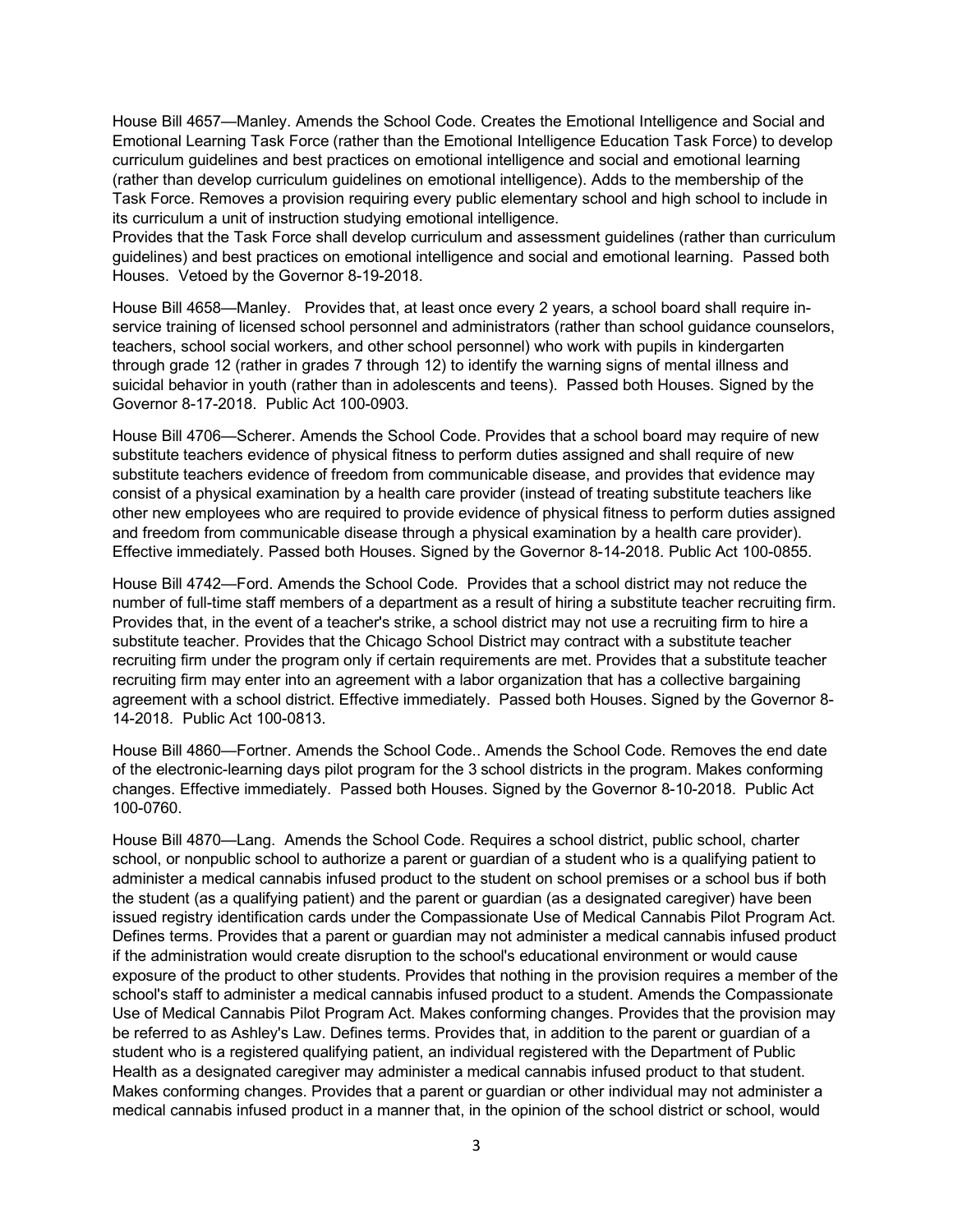House Bill 4657—Manley. Amends the School Code. Creates the Emotional Intelligence and Social and Emotional Learning Task Force (rather than the Emotional Intelligence Education Task Force) to develop curriculum guidelines and best practices on emotional intelligence and social and emotional learning (rather than develop curriculum guidelines on emotional intelligence). Adds to the membership of the Task Force. Removes a provision requiring every public elementary school and high school to include in its curriculum a unit of instruction studying emotional intelligence.

Provides that the Task Force shall develop curriculum and assessment guidelines (rather than curriculum guidelines) and best practices on emotional intelligence and social and emotional learning. Passed both Houses. Vetoed by the Governor 8-19-2018.

House Bill 4658—Manley. Provides that, at least once every 2 years, a school board shall require inservice training of licensed school personnel and administrators (rather than school guidance counselors, teachers, school social workers, and other school personnel) who work with pupils in kindergarten through grade 12 (rather in grades 7 through 12) to identify the warning signs of mental illness and suicidal behavior in youth (rather than in adolescents and teens). Passed both Houses. Signed by the Governor 8-17-2018. Public Act 100-0903.

House Bill 4706—Scherer. Amends the School Code. Provides that a school board may require of new substitute teachers evidence of physical fitness to perform duties assigned and shall require of new substitute teachers evidence of freedom from communicable disease, and provides that evidence may consist of a physical examination by a health care provider (instead of treating substitute teachers like other new employees who are required to provide evidence of physical fitness to perform duties assigned and freedom from communicable disease through a physical examination by a health care provider). Effective immediately. Passed both Houses. Signed by the Governor 8-14-2018. Public Act 100-0855.

House Bill 4742—Ford. Amends the School Code. Provides that a school district may not reduce the number of full-time staff members of a department as a result of hiring a substitute teacher recruiting firm. Provides that, in the event of a teacher's strike, a school district may not use a recruiting firm to hire a substitute teacher. Provides that the Chicago School District may contract with a substitute teacher recruiting firm under the program only if certain requirements are met. Provides that a substitute teacher recruiting firm may enter into an agreement with a labor organization that has a collective bargaining agreement with a school district. Effective immediately. Passed both Houses. Signed by the Governor 8- 14-2018. Public Act 100-0813.

House Bill 4860—Fortner. Amends the School Code.. Amends the School Code. Removes the end date of the electronic-learning days pilot program for the 3 school districts in the program. Makes conforming changes. Effective immediately. Passed both Houses. Signed by the Governor 8-10-2018. Public Act 100-0760.

House Bill 4870—Lang. Amends the School Code. Requires a school district, public school, charter school, or nonpublic school to authorize a parent or guardian of a student who is a qualifying patient to administer a medical cannabis infused product to the student on school premises or a school bus if both the student (as a qualifying patient) and the parent or guardian (as a designated caregiver) have been issued registry identification cards under the Compassionate Use of Medical Cannabis Pilot Program Act. Defines terms. Provides that a parent or guardian may not administer a medical cannabis infused product if the administration would create disruption to the school's educational environment or would cause exposure of the product to other students. Provides that nothing in the provision requires a member of the school's staff to administer a medical cannabis infused product to a student. Amends the Compassionate Use of Medical Cannabis Pilot Program Act. Makes conforming changes. Provides that the provision may be referred to as Ashley's Law. Defines terms. Provides that, in addition to the parent or guardian of a student who is a registered qualifying patient, an individual registered with the Department of Public Health as a designated caregiver may administer a medical cannabis infused product to that student. Makes conforming changes. Provides that a parent or guardian or other individual may not administer a medical cannabis infused product in a manner that, in the opinion of the school district or school, would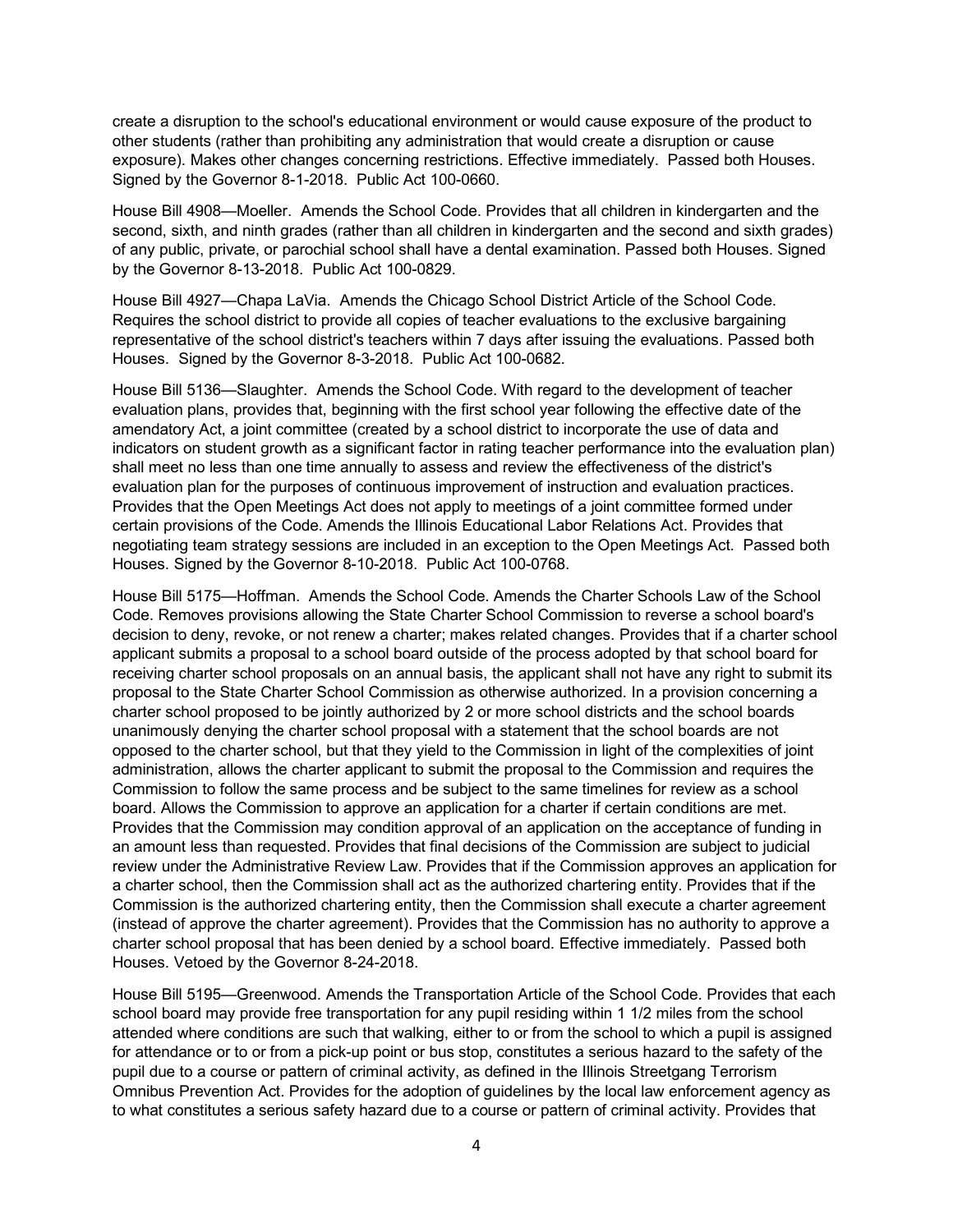create a disruption to the school's educational environment or would cause exposure of the product to other students (rather than prohibiting any administration that would create a disruption or cause exposure). Makes other changes concerning restrictions. Effective immediately. Passed both Houses. Signed by the Governor 8-1-2018. Public Act 100-0660.

House Bill 4908—Moeller. Amends the School Code. Provides that all children in kindergarten and the second, sixth, and ninth grades (rather than all children in kindergarten and the second and sixth grades) of any public, private, or parochial school shall have a dental examination. Passed both Houses. Signed by the Governor 8-13-2018. Public Act 100-0829.

House Bill 4927—Chapa LaVia. Amends the Chicago School District Article of the School Code. Requires the school district to provide all copies of teacher evaluations to the exclusive bargaining representative of the school district's teachers within 7 days after issuing the evaluations. Passed both Houses. Signed by the Governor 8-3-2018. Public Act 100-0682.

House Bill 5136—Slaughter. Amends the School Code. With regard to the development of teacher evaluation plans, provides that, beginning with the first school year following the effective date of the amendatory Act, a joint committee (created by a school district to incorporate the use of data and indicators on student growth as a significant factor in rating teacher performance into the evaluation plan) shall meet no less than one time annually to assess and review the effectiveness of the district's evaluation plan for the purposes of continuous improvement of instruction and evaluation practices. Provides that the Open Meetings Act does not apply to meetings of a joint committee formed under certain provisions of the Code. Amends the Illinois Educational Labor Relations Act. Provides that negotiating team strategy sessions are included in an exception to the Open Meetings Act. Passed both Houses. Signed by the Governor 8-10-2018. Public Act 100-0768.

House Bill 5175—Hoffman. Amends the School Code. Amends the Charter Schools Law of the School Code. Removes provisions allowing the State Charter School Commission to reverse a school board's decision to deny, revoke, or not renew a charter; makes related changes. Provides that if a charter school applicant submits a proposal to a school board outside of the process adopted by that school board for receiving charter school proposals on an annual basis, the applicant shall not have any right to submit its proposal to the State Charter School Commission as otherwise authorized. In a provision concerning a charter school proposed to be jointly authorized by 2 or more school districts and the school boards unanimously denying the charter school proposal with a statement that the school boards are not opposed to the charter school, but that they yield to the Commission in light of the complexities of joint administration, allows the charter applicant to submit the proposal to the Commission and requires the Commission to follow the same process and be subject to the same timelines for review as a school board. Allows the Commission to approve an application for a charter if certain conditions are met. Provides that the Commission may condition approval of an application on the acceptance of funding in an amount less than requested. Provides that final decisions of the Commission are subject to judicial review under the Administrative Review Law. Provides that if the Commission approves an application for a charter school, then the Commission shall act as the authorized chartering entity. Provides that if the Commission is the authorized chartering entity, then the Commission shall execute a charter agreement (instead of approve the charter agreement). Provides that the Commission has no authority to approve a charter school proposal that has been denied by a school board. Effective immediately. Passed both Houses. Vetoed by the Governor 8-24-2018.

House Bill 5195—Greenwood. Amends the Transportation Article of the School Code. Provides that each school board may provide free transportation for any pupil residing within 1 1/2 miles from the school attended where conditions are such that walking, either to or from the school to which a pupil is assigned for attendance or to or from a pick-up point or bus stop, constitutes a serious hazard to the safety of the pupil due to a course or pattern of criminal activity, as defined in the Illinois Streetgang Terrorism Omnibus Prevention Act. Provides for the adoption of guidelines by the local law enforcement agency as to what constitutes a serious safety hazard due to a course or pattern of criminal activity. Provides that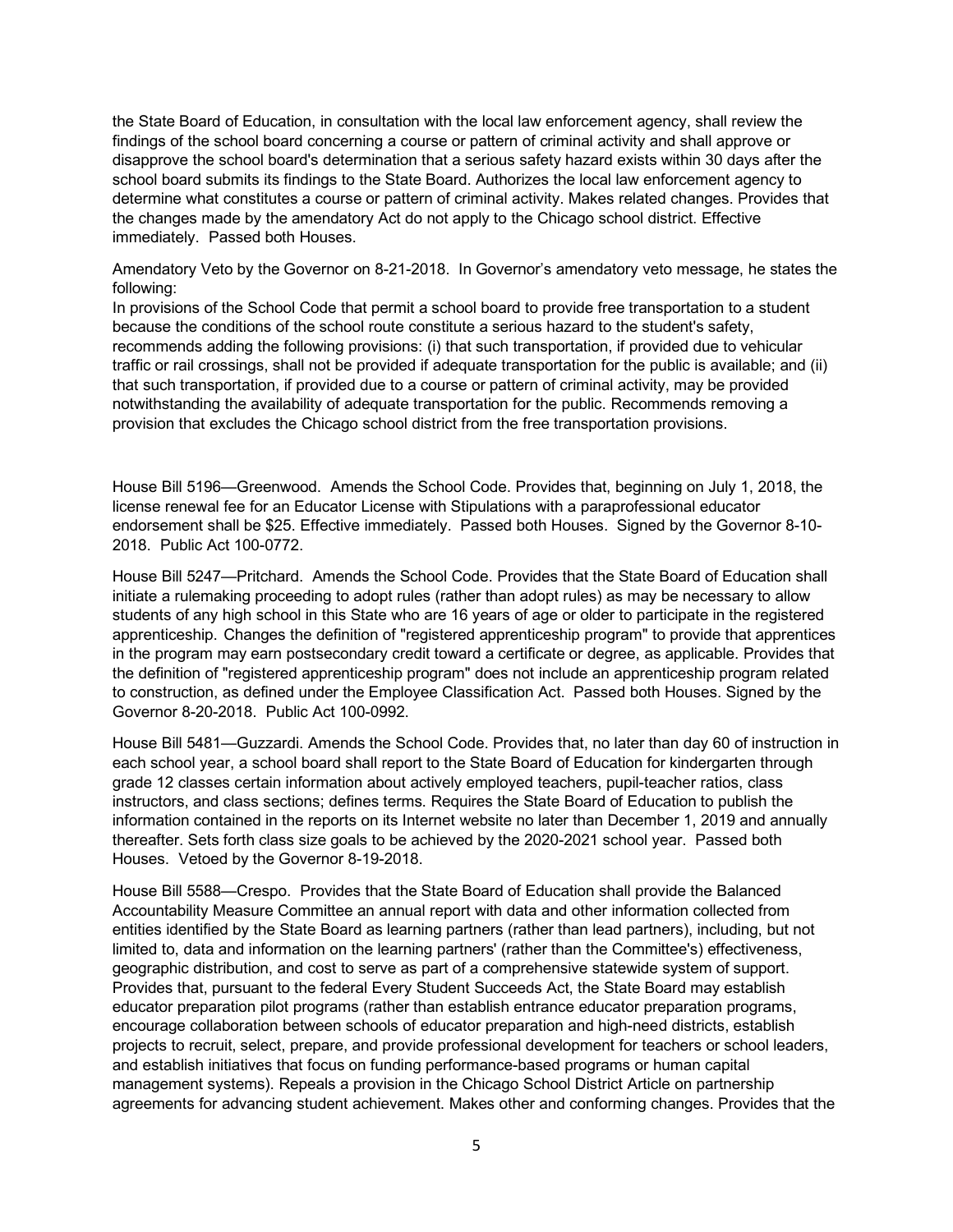the State Board of Education, in consultation with the local law enforcement agency, shall review the findings of the school board concerning a course or pattern of criminal activity and shall approve or disapprove the school board's determination that a serious safety hazard exists within 30 days after the school board submits its findings to the State Board. Authorizes the local law enforcement agency to determine what constitutes a course or pattern of criminal activity. Makes related changes. Provides that the changes made by the amendatory Act do not apply to the Chicago school district. Effective immediately. Passed both Houses.

Amendatory Veto by the Governor on 8-21-2018. In Governor's amendatory veto message, he states the following:

In provisions of the School Code that permit a school board to provide free transportation to a student because the conditions of the school route constitute a serious hazard to the student's safety, recommends adding the following provisions: (i) that such transportation, if provided due to vehicular traffic or rail crossings, shall not be provided if adequate transportation for the public is available; and (ii) that such transportation, if provided due to a course or pattern of criminal activity, may be provided notwithstanding the availability of adequate transportation for the public. Recommends removing a provision that excludes the Chicago school district from the free transportation provisions.

House Bill 5196—Greenwood. Amends the School Code. Provides that, beginning on July 1, 2018, the license renewal fee for an Educator License with Stipulations with a paraprofessional educator endorsement shall be \$25. Effective immediately. Passed both Houses. Signed by the Governor 8-10- 2018. Public Act 100-0772.

House Bill 5247—Pritchard. Amends the School Code. Provides that the State Board of Education shall initiate a rulemaking proceeding to adopt rules (rather than adopt rules) as may be necessary to allow students of any high school in this State who are 16 years of age or older to participate in the registered apprenticeship. Changes the definition of "registered apprenticeship program" to provide that apprentices in the program may earn postsecondary credit toward a certificate or degree, as applicable. Provides that the definition of "registered apprenticeship program" does not include an apprenticeship program related to construction, as defined under the Employee Classification Act. Passed both Houses. Signed by the Governor 8-20-2018. Public Act 100-0992.

House Bill 5481—Guzzardi. Amends the School Code. Provides that, no later than day 60 of instruction in each school year, a school board shall report to the State Board of Education for kindergarten through grade 12 classes certain information about actively employed teachers, pupil-teacher ratios, class instructors, and class sections; defines terms. Requires the State Board of Education to publish the information contained in the reports on its Internet website no later than December 1, 2019 and annually thereafter. Sets forth class size goals to be achieved by the 2020-2021 school year. Passed both Houses. Vetoed by the Governor 8-19-2018.

House Bill 5588—Crespo. Provides that the State Board of Education shall provide the Balanced Accountability Measure Committee an annual report with data and other information collected from entities identified by the State Board as learning partners (rather than lead partners), including, but not limited to, data and information on the learning partners' (rather than the Committee's) effectiveness, geographic distribution, and cost to serve as part of a comprehensive statewide system of support. Provides that, pursuant to the federal Every Student Succeeds Act, the State Board may establish educator preparation pilot programs (rather than establish entrance educator preparation programs, encourage collaboration between schools of educator preparation and high-need districts, establish projects to recruit, select, prepare, and provide professional development for teachers or school leaders, and establish initiatives that focus on funding performance-based programs or human capital management systems). Repeals a provision in the Chicago School District Article on partnership agreements for advancing student achievement. Makes other and conforming changes. Provides that the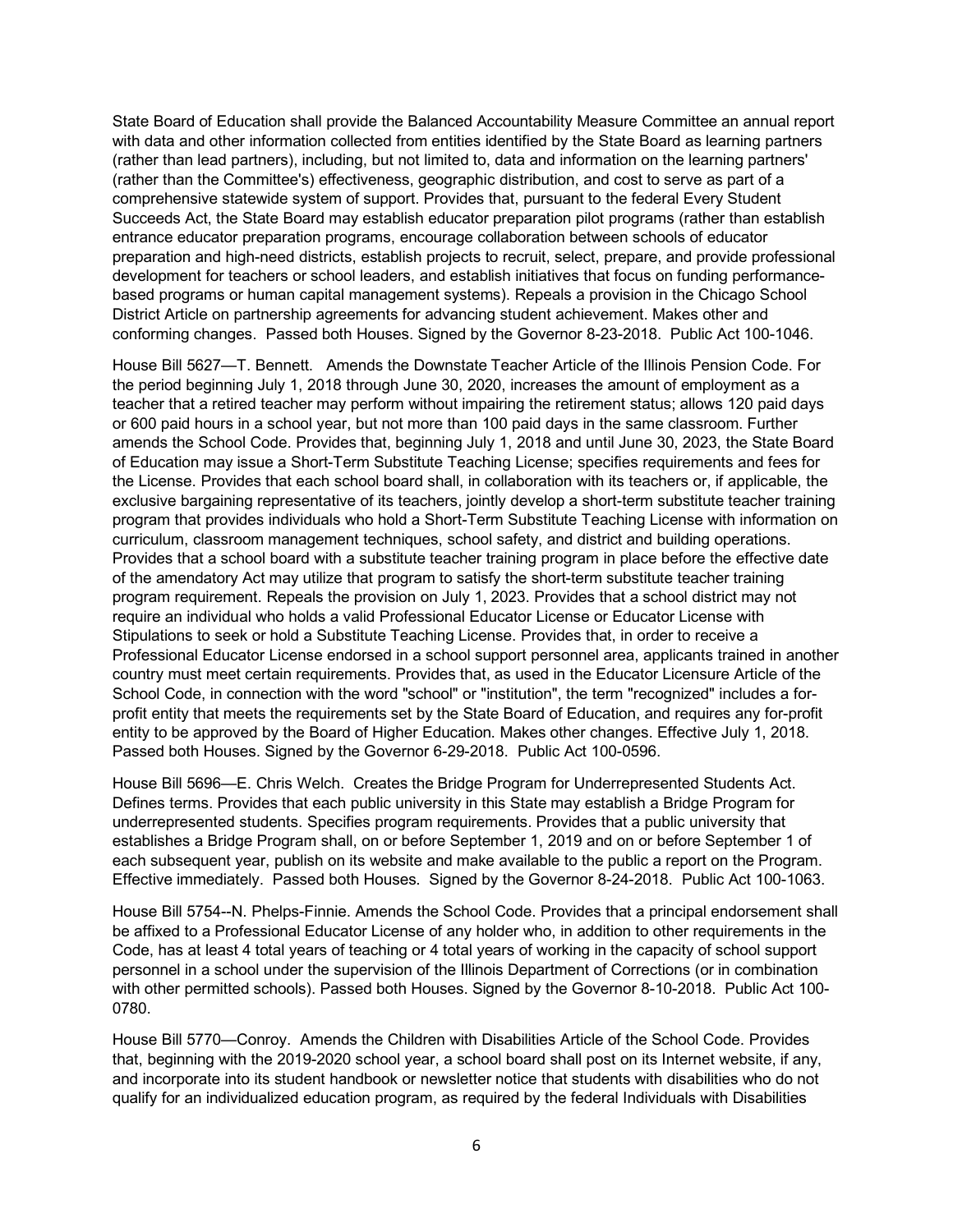State Board of Education shall provide the Balanced Accountability Measure Committee an annual report with data and other information collected from entities identified by the State Board as learning partners (rather than lead partners), including, but not limited to, data and information on the learning partners' (rather than the Committee's) effectiveness, geographic distribution, and cost to serve as part of a comprehensive statewide system of support. Provides that, pursuant to the federal Every Student Succeeds Act, the State Board may establish educator preparation pilot programs (rather than establish entrance educator preparation programs, encourage collaboration between schools of educator preparation and high-need districts, establish projects to recruit, select, prepare, and provide professional development for teachers or school leaders, and establish initiatives that focus on funding performancebased programs or human capital management systems). Repeals a provision in the Chicago School District Article on partnership agreements for advancing student achievement. Makes other and conforming changes. Passed both Houses. Signed by the Governor 8-23-2018. Public Act 100-1046.

House Bill 5627—T. Bennett. Amends the Downstate Teacher Article of the Illinois Pension Code. For the period beginning July 1, 2018 through June 30, 2020, increases the amount of employment as a teacher that a retired teacher may perform without impairing the retirement status; allows 120 paid days or 600 paid hours in a school year, but not more than 100 paid days in the same classroom. Further amends the School Code. Provides that, beginning July 1, 2018 and until June 30, 2023, the State Board of Education may issue a Short-Term Substitute Teaching License; specifies requirements and fees for the License. Provides that each school board shall, in collaboration with its teachers or, if applicable, the exclusive bargaining representative of its teachers, jointly develop a short-term substitute teacher training program that provides individuals who hold a Short-Term Substitute Teaching License with information on curriculum, classroom management techniques, school safety, and district and building operations. Provides that a school board with a substitute teacher training program in place before the effective date of the amendatory Act may utilize that program to satisfy the short-term substitute teacher training program requirement. Repeals the provision on July 1, 2023. Provides that a school district may not require an individual who holds a valid Professional Educator License or Educator License with Stipulations to seek or hold a Substitute Teaching License. Provides that, in order to receive a Professional Educator License endorsed in a school support personnel area, applicants trained in another country must meet certain requirements. Provides that, as used in the Educator Licensure Article of the School Code, in connection with the word "school" or "institution", the term "recognized" includes a forprofit entity that meets the requirements set by the State Board of Education, and requires any for-profit entity to be approved by the Board of Higher Education. Makes other changes. Effective July 1, 2018. Passed both Houses. Signed by the Governor 6-29-2018. Public Act 100-0596.

House Bill 5696—E. Chris Welch. Creates the Bridge Program for Underrepresented Students Act. Defines terms. Provides that each public university in this State may establish a Bridge Program for underrepresented students. Specifies program requirements. Provides that a public university that establishes a Bridge Program shall, on or before September 1, 2019 and on or before September 1 of each subsequent year, publish on its website and make available to the public a report on the Program. Effective immediately. Passed both Houses. Signed by the Governor 8-24-2018. Public Act 100-1063.

House Bill 5754--N. Phelps-Finnie. Amends the School Code. Provides that a principal endorsement shall be affixed to a Professional Educator License of any holder who, in addition to other requirements in the Code, has at least 4 total years of teaching or 4 total years of working in the capacity of school support personnel in a school under the supervision of the Illinois Department of Corrections (or in combination with other permitted schools). Passed both Houses. Signed by the Governor 8-10-2018. Public Act 100- 0780.

House Bill 5770—Conroy. Amends the Children with Disabilities Article of the School Code. Provides that, beginning with the 2019-2020 school year, a school board shall post on its Internet website, if any, and incorporate into its student handbook or newsletter notice that students with disabilities who do not qualify for an individualized education program, as required by the federal Individuals with Disabilities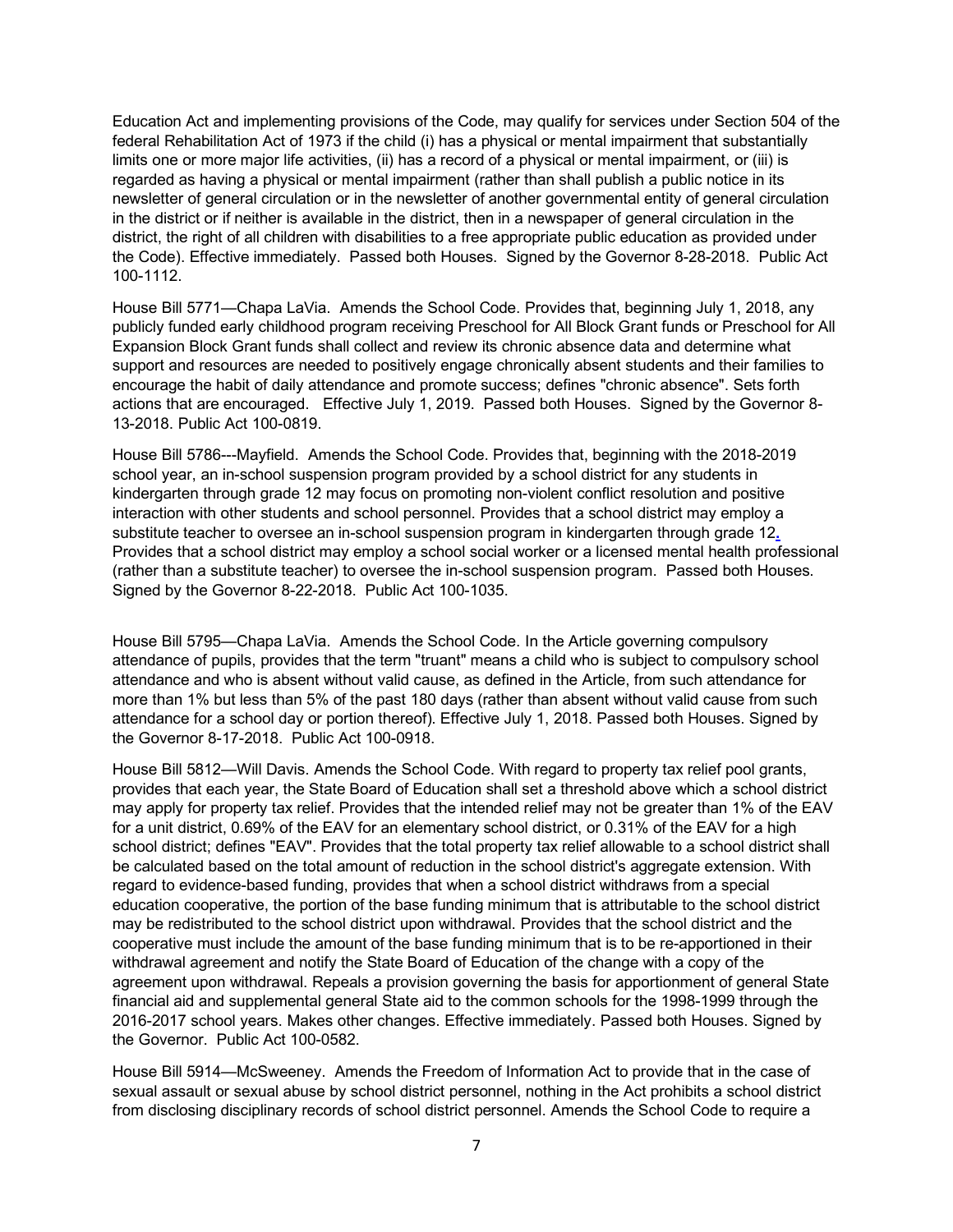Education Act and implementing provisions of the Code, may qualify for services under Section 504 of the federal Rehabilitation Act of 1973 if the child (i) has a physical or mental impairment that substantially limits one or more major life activities, (ii) has a record of a physical or mental impairment, or (iii) is regarded as having a physical or mental impairment (rather than shall publish a public notice in its newsletter of general circulation or in the newsletter of another governmental entity of general circulation in the district or if neither is available in the district, then in a newspaper of general circulation in the district, the right of all children with disabilities to a free appropriate public education as provided under the Code). Effective immediately. Passed both Houses. Signed by the Governor 8-28-2018. Public Act 100-1112.

House Bill 5771—Chapa LaVia. Amends the School Code. Provides that, beginning July 1, 2018, any publicly funded early childhood program receiving Preschool for All Block Grant funds or Preschool for All Expansion Block Grant funds shall collect and review its chronic absence data and determine what support and resources are needed to positively engage chronically absent students and their families to encourage the habit of daily attendance and promote success; defines "chronic absence". Sets forth actions that are encouraged. Effective July 1, 2019. Passed both Houses. Signed by the Governor 8- 13-2018. Public Act 100-0819.

House Bill 5786---Mayfield. Amends the School Code. Provides that, beginning with the 2018-2019 school year, an in-school suspension program provided by a school district for any students in kindergarten through grade 12 may focus on promoting non-violent conflict resolution and positive interaction with other students and school personnel. Provides that a school district may employ a substitute teacher to oversee an in-school suspension program in kindergarten through grade 12**.** Provides that a school district may employ a school social worker or a licensed mental health professional (rather than a substitute teacher) to oversee the in-school suspension program. Passed both Houses. Signed by the Governor 8-22-2018. Public Act 100-1035.

House Bill 5795—Chapa LaVia. Amends the School Code. In the Article governing compulsory attendance of pupils, provides that the term "truant" means a child who is subject to compulsory school attendance and who is absent without valid cause, as defined in the Article, from such attendance for more than 1% but less than 5% of the past 180 days (rather than absent without valid cause from such attendance for a school day or portion thereof). Effective July 1, 2018. Passed both Houses. Signed by the Governor 8-17-2018. Public Act 100-0918.

House Bill 5812—Will Davis. Amends the School Code. With regard to property tax relief pool grants, provides that each year, the State Board of Education shall set a threshold above which a school district may apply for property tax relief. Provides that the intended relief may not be greater than 1% of the EAV for a unit district, 0.69% of the EAV for an elementary school district, or 0.31% of the EAV for a high school district; defines "EAV". Provides that the total property tax relief allowable to a school district shall be calculated based on the total amount of reduction in the school district's aggregate extension. With regard to evidence-based funding, provides that when a school district withdraws from a special education cooperative, the portion of the base funding minimum that is attributable to the school district may be redistributed to the school district upon withdrawal. Provides that the school district and the cooperative must include the amount of the base funding minimum that is to be re-apportioned in their withdrawal agreement and notify the State Board of Education of the change with a copy of the agreement upon withdrawal. Repeals a provision governing the basis for apportionment of general State financial aid and supplemental general State aid to the common schools for the 1998-1999 through the 2016-2017 school years. Makes other changes. Effective immediately. Passed both Houses. Signed by the Governor. Public Act 100-0582.

House Bill 5914—McSweeney. Amends the Freedom of Information Act to provide that in the case of sexual assault or sexual abuse by school district personnel, nothing in the Act prohibits a school district from disclosing disciplinary records of school district personnel. Amends the School Code to require a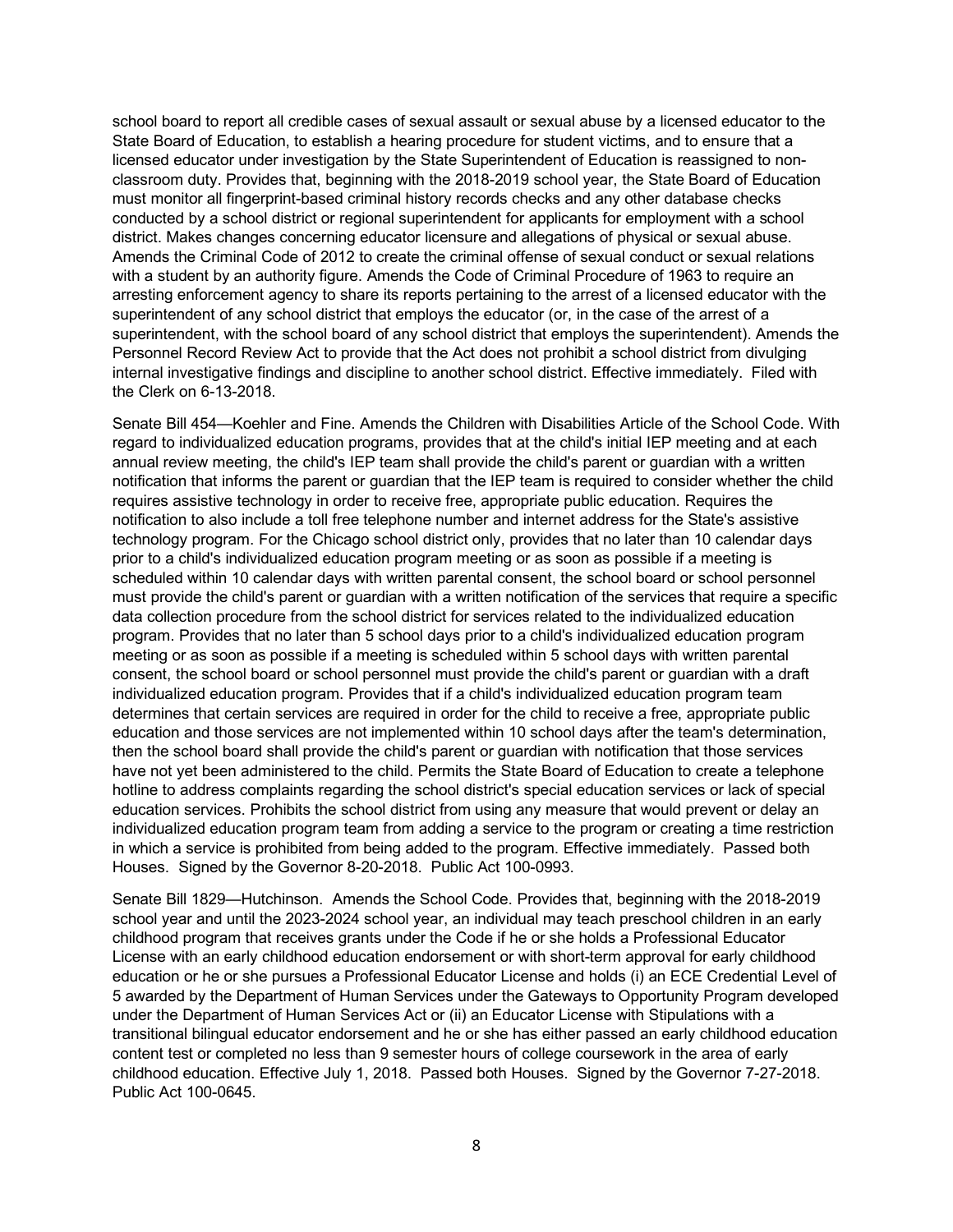school board to report all credible cases of sexual assault or sexual abuse by a licensed educator to the State Board of Education, to establish a hearing procedure for student victims, and to ensure that a licensed educator under investigation by the State Superintendent of Education is reassigned to nonclassroom duty. Provides that, beginning with the 2018-2019 school year, the State Board of Education must monitor all fingerprint-based criminal history records checks and any other database checks conducted by a school district or regional superintendent for applicants for employment with a school district. Makes changes concerning educator licensure and allegations of physical or sexual abuse. Amends the Criminal Code of 2012 to create the criminal offense of sexual conduct or sexual relations with a student by an authority figure. Amends the Code of Criminal Procedure of 1963 to require an arresting enforcement agency to share its reports pertaining to the arrest of a licensed educator with the superintendent of any school district that employs the educator (or, in the case of the arrest of a superintendent, with the school board of any school district that employs the superintendent). Amends the Personnel Record Review Act to provide that the Act does not prohibit a school district from divulging internal investigative findings and discipline to another school district. Effective immediately. Filed with the Clerk on 6-13-2018.

Senate Bill 454—Koehler and Fine. Amends the Children with Disabilities Article of the School Code. With regard to individualized education programs, provides that at the child's initial IEP meeting and at each annual review meeting, the child's IEP team shall provide the child's parent or guardian with a written notification that informs the parent or guardian that the IEP team is required to consider whether the child requires assistive technology in order to receive free, appropriate public education. Requires the notification to also include a toll free telephone number and internet address for the State's assistive technology program. For the Chicago school district only, provides that no later than 10 calendar days prior to a child's individualized education program meeting or as soon as possible if a meeting is scheduled within 10 calendar days with written parental consent, the school board or school personnel must provide the child's parent or guardian with a written notification of the services that require a specific data collection procedure from the school district for services related to the individualized education program. Provides that no later than 5 school days prior to a child's individualized education program meeting or as soon as possible if a meeting is scheduled within 5 school days with written parental consent, the school board or school personnel must provide the child's parent or guardian with a draft individualized education program. Provides that if a child's individualized education program team determines that certain services are required in order for the child to receive a free, appropriate public education and those services are not implemented within 10 school days after the team's determination, then the school board shall provide the child's parent or guardian with notification that those services have not yet been administered to the child. Permits the State Board of Education to create a telephone hotline to address complaints regarding the school district's special education services or lack of special education services. Prohibits the school district from using any measure that would prevent or delay an individualized education program team from adding a service to the program or creating a time restriction in which a service is prohibited from being added to the program. Effective immediately. Passed both Houses. Signed by the Governor 8-20-2018. Public Act 100-0993.

Senate Bill 1829—Hutchinson. Amends the School Code. Provides that, beginning with the 2018-2019 school year and until the 2023-2024 school year, an individual may teach preschool children in an early childhood program that receives grants under the Code if he or she holds a Professional Educator License with an early childhood education endorsement or with short-term approval for early childhood education or he or she pursues a Professional Educator License and holds (i) an ECE Credential Level of 5 awarded by the Department of Human Services under the Gateways to Opportunity Program developed under the Department of Human Services Act or (ii) an Educator License with Stipulations with a transitional bilingual educator endorsement and he or she has either passed an early childhood education content test or completed no less than 9 semester hours of college coursework in the area of early childhood education. Effective July 1, 2018. Passed both Houses. Signed by the Governor 7-27-2018. Public Act 100-0645.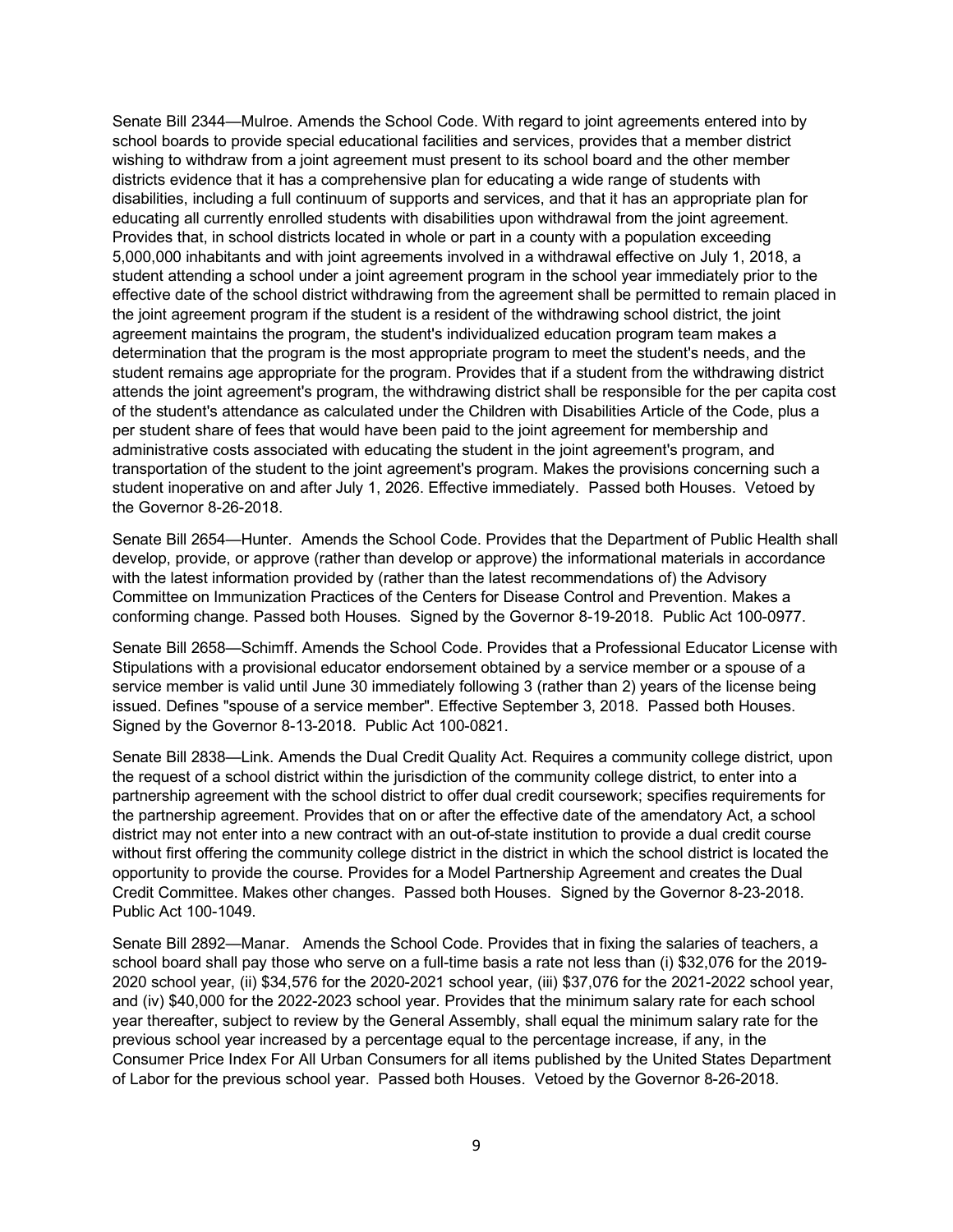Senate Bill 2344—Mulroe. Amends the School Code. With regard to joint agreements entered into by school boards to provide special educational facilities and services, provides that a member district wishing to withdraw from a joint agreement must present to its school board and the other member districts evidence that it has a comprehensive plan for educating a wide range of students with disabilities, including a full continuum of supports and services, and that it has an appropriate plan for educating all currently enrolled students with disabilities upon withdrawal from the joint agreement. Provides that, in school districts located in whole or part in a county with a population exceeding 5,000,000 inhabitants and with joint agreements involved in a withdrawal effective on July 1, 2018, a student attending a school under a joint agreement program in the school year immediately prior to the effective date of the school district withdrawing from the agreement shall be permitted to remain placed in the joint agreement program if the student is a resident of the withdrawing school district, the joint agreement maintains the program, the student's individualized education program team makes a determination that the program is the most appropriate program to meet the student's needs, and the student remains age appropriate for the program. Provides that if a student from the withdrawing district attends the joint agreement's program, the withdrawing district shall be responsible for the per capita cost of the student's attendance as calculated under the Children with Disabilities Article of the Code, plus a per student share of fees that would have been paid to the joint agreement for membership and administrative costs associated with educating the student in the joint agreement's program, and transportation of the student to the joint agreement's program. Makes the provisions concerning such a student inoperative on and after July 1, 2026. Effective immediately. Passed both Houses. Vetoed by the Governor 8-26-2018.

Senate Bill 2654—Hunter. Amends the School Code. Provides that the Department of Public Health shall develop, provide, or approve (rather than develop or approve) the informational materials in accordance with the latest information provided by (rather than the latest recommendations of) the Advisory Committee on Immunization Practices of the Centers for Disease Control and Prevention. Makes a conforming change. Passed both Houses. Signed by the Governor 8-19-2018. Public Act 100-0977.

Senate Bill 2658—Schimff. Amends the School Code. Provides that a Professional Educator License with Stipulations with a provisional educator endorsement obtained by a service member or a spouse of a service member is valid until June 30 immediately following 3 (rather than 2) years of the license being issued. Defines "spouse of a service member". Effective September 3, 2018. Passed both Houses. Signed by the Governor 8-13-2018. Public Act 100-0821.

Senate Bill 2838—Link. Amends the Dual Credit Quality Act. Requires a community college district, upon the request of a school district within the jurisdiction of the community college district, to enter into a partnership agreement with the school district to offer dual credit coursework; specifies requirements for the partnership agreement. Provides that on or after the effective date of the amendatory Act, a school district may not enter into a new contract with an out-of-state institution to provide a dual credit course without first offering the community college district in the district in which the school district is located the opportunity to provide the course. Provides for a Model Partnership Agreement and creates the Dual Credit Committee. Makes other changes. Passed both Houses. Signed by the Governor 8-23-2018. Public Act 100-1049.

Senate Bill 2892—Manar. Amends the School Code. Provides that in fixing the salaries of teachers, a school board shall pay those who serve on a full-time basis a rate not less than (i) \$32,076 for the 2019- 2020 school year, (ii) \$34,576 for the 2020-2021 school year, (iii) \$37,076 for the 2021-2022 school year, and (iv) \$40,000 for the 2022-2023 school year. Provides that the minimum salary rate for each school year thereafter, subject to review by the General Assembly, shall equal the minimum salary rate for the previous school year increased by a percentage equal to the percentage increase, if any, in the Consumer Price Index For All Urban Consumers for all items published by the United States Department of Labor for the previous school year. Passed both Houses. Vetoed by the Governor 8-26-2018.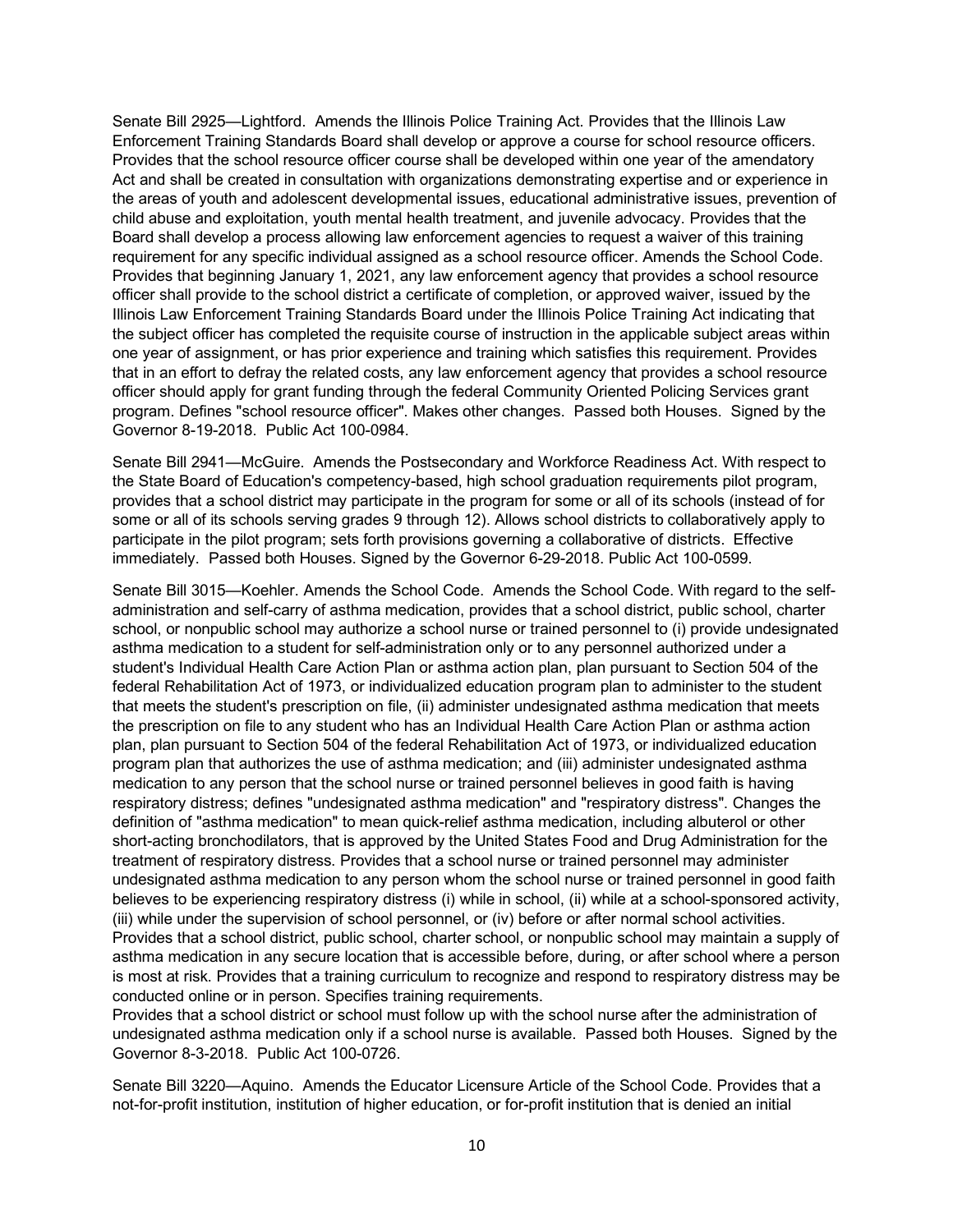Senate Bill 2925—Lightford. Amends the Illinois Police Training Act. Provides that the Illinois Law Enforcement Training Standards Board shall develop or approve a course for school resource officers. Provides that the school resource officer course shall be developed within one year of the amendatory Act and shall be created in consultation with organizations demonstrating expertise and or experience in the areas of youth and adolescent developmental issues, educational administrative issues, prevention of child abuse and exploitation, youth mental health treatment, and juvenile advocacy. Provides that the Board shall develop a process allowing law enforcement agencies to request a waiver of this training requirement for any specific individual assigned as a school resource officer. Amends the School Code. Provides that beginning January 1, 2021, any law enforcement agency that provides a school resource officer shall provide to the school district a certificate of completion, or approved waiver, issued by the Illinois Law Enforcement Training Standards Board under the Illinois Police Training Act indicating that the subject officer has completed the requisite course of instruction in the applicable subject areas within one year of assignment, or has prior experience and training which satisfies this requirement. Provides that in an effort to defray the related costs, any law enforcement agency that provides a school resource officer should apply for grant funding through the federal Community Oriented Policing Services grant program. Defines "school resource officer". Makes other changes. Passed both Houses. Signed by the Governor 8-19-2018. Public Act 100-0984.

Senate Bill 2941—McGuire. Amends the Postsecondary and Workforce Readiness Act. With respect to the State Board of Education's competency-based, high school graduation requirements pilot program, provides that a school district may participate in the program for some or all of its schools (instead of for some or all of its schools serving grades 9 through 12). Allows school districts to collaboratively apply to participate in the pilot program; sets forth provisions governing a collaborative of districts. Effective immediately. Passed both Houses. Signed by the Governor 6-29-2018. Public Act 100-0599.

Senate Bill 3015—Koehler. Amends the School Code. Amends the School Code. With regard to the selfadministration and self-carry of asthma medication, provides that a school district, public school, charter school, or nonpublic school may authorize a school nurse or trained personnel to (i) provide undesignated asthma medication to a student for self-administration only or to any personnel authorized under a student's Individual Health Care Action Plan or asthma action plan, plan pursuant to Section 504 of the federal Rehabilitation Act of 1973, or individualized education program plan to administer to the student that meets the student's prescription on file, (ii) administer undesignated asthma medication that meets the prescription on file to any student who has an Individual Health Care Action Plan or asthma action plan, plan pursuant to Section 504 of the federal Rehabilitation Act of 1973, or individualized education program plan that authorizes the use of asthma medication; and (iii) administer undesignated asthma medication to any person that the school nurse or trained personnel believes in good faith is having respiratory distress; defines "undesignated asthma medication" and "respiratory distress". Changes the definition of "asthma medication" to mean quick-relief asthma medication, including albuterol or other short-acting bronchodilators, that is approved by the United States Food and Drug Administration for the treatment of respiratory distress. Provides that a school nurse or trained personnel may administer undesignated asthma medication to any person whom the school nurse or trained personnel in good faith believes to be experiencing respiratory distress (i) while in school, (ii) while at a school-sponsored activity, (iii) while under the supervision of school personnel, or (iv) before or after normal school activities. Provides that a school district, public school, charter school, or nonpublic school may maintain a supply of asthma medication in any secure location that is accessible before, during, or after school where a person is most at risk. Provides that a training curriculum to recognize and respond to respiratory distress may be conducted online or in person. Specifies training requirements.

Provides that a school district or school must follow up with the school nurse after the administration of undesignated asthma medication only if a school nurse is available. Passed both Houses. Signed by the Governor 8-3-2018. Public Act 100-0726.

Senate Bill 3220—Aquino. Amends the Educator Licensure Article of the School Code. Provides that a not-for-profit institution, institution of higher education, or for-profit institution that is denied an initial